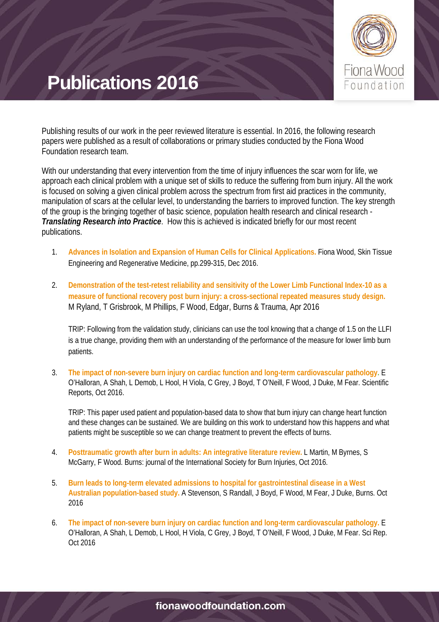

Publishing results of our work in the peer reviewed literature is essential. In 2016, the following research papers were published as a result of collaborations or primary studies conducted by the Fiona Wood Foundation research team.

With our understanding that every intervention from the time of injury influences the scar worn for life, we approach each clinical problem with a unique set of skills to reduce the suffering from burn injury. All the work is focused on solving a given clinical problem across the spectrum from first aid practices in the community, manipulation of scars at the cellular level, to understanding the barriers to improved function. The key strength of the group is the bringing together of basic science, population health research and clinical research - *Translating Research into Practice*. How this is achieved is indicated briefly for our most recent publications.

- 1. **Advances in Isolation and Expansion of Human Cells for Clinical Applications.** Fiona Wood, Skin Tissue Engineering and Regenerative Medicine, pp.299-315, Dec 2016.
- 2. **Demonstration of the test-retest reliability and sensitivity of the Lower Limb Functional Index-10 as a measure of functional recovery post burn injury: a cross-sectional repeated measures study design.** M Ryland, T Grisbrook, M Phillips, F Wood, Edgar, Burns & Trauma, Apr 2016

TRIP: Following from the validation study, clinicians can use the tool knowing that a change of 1.5 on the LLFI is a true change, providing them with an understanding of the performance of the measure for lower limb burn patients.

3. **The impact of non-severe burn injury on cardiac function and long-term cardiovascular pathology.** E O'Halloran, A Shah, L Demob, L Hool, H Viola, C Grey, J Boyd, T O'Neill, F Wood, J Duke, M Fear. Scientific Reports, Oct 2016.

TRIP: This paper used patient and population-based data to show that burn injury can change heart function and these changes can be sustained. We are building on this work to understand how this happens and what patients might be susceptible so we can change treatment to prevent the effects of burns.

- 4. **Posttraumatic growth after burn in adults: An integrative literature review.** L Martin, M Byrnes, S McGarry, F Wood. Burns: journal of the International Society for Burn Injuries, Oct 2016.
- 5. **Burn leads to long-term elevated admissions to hospital for gastrointestinal disease in a West Australian population-based study.** A Stevenson, S Randall, J Boyd, F Wood, M Fear, J Duke, Burns. Oct 2016
- 6. **The impact of non-severe burn injury on cardiac function and long-term cardiovascular pathology.** E O'Halloran, A Shah, L Demob, L Hool, H Viola, C Grey, J Boyd, T O'Neill, F Wood, J Duke, M Fear. Sci Rep. Oct 2016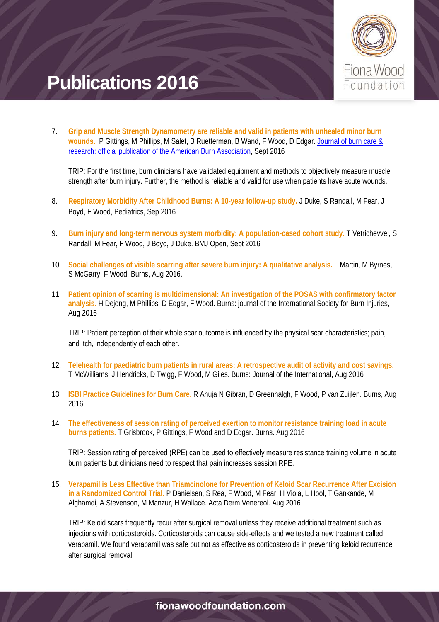

7. **Grip and Muscle Strength Dynamometry are reliable and valid in patients with unhealed minor burn wounds.** P Gittings, M Phillips, M Salet, B Ruetterman, B Wand, F Wood, D Edgar. [Journal of burn care &](https://www.researchgate.net/journal/1559-047X_Journal_of_burn_care_research_official_publication_of_the_American_Burn_Association)  [research: official publication of the American Burn Association,](https://www.researchgate.net/journal/1559-047X_Journal_of_burn_care_research_official_publication_of_the_American_Burn_Association) Sept 2016

TRIP: For the first time, burn clinicians have validated equipment and methods to objectively measure muscle strength after burn injury. Further, the method is reliable and valid for use when patients have acute wounds.

- 8. **Respiratory Morbidity After Childhood Burns: A 10-year follow-up study.** J Duke, S Randall, M Fear, J Boyd, F Wood, Pediatrics, Sep 2016
- 9. **Burn injury and long-term nervous system morbidity: A population-cased cohort study.** T Vetrichevvel, S Randall, M Fear, F Wood, J Boyd, J Duke. BMJ Open, Sept 2016
- 10. **Social challenges of visible scarring after severe burn injury: A qualitative analysis.** L Martin, M Byrnes, S McGarry, F Wood. Burns, Aug 2016.
- 11. **Patient opinion of scarring is multidimensional: An investigation of the POSAS with confirmatory factor analysis.** H Dejong, M Phillips, D Edgar, F Wood. Burns: journal of the International Society for Burn Injuries, Aug 2016

TRIP: Patient perception of their whole scar outcome is influenced by the physical scar characteristics; pain, and itch, independently of each other.

- 12. **Telehealth for paediatric burn patients in rural areas: A retrospective audit of activity and cost savings.** T McWilliams, J Hendricks, D Twigg, F Wood, M Giles. Burns: Journal of the International, Aug 2016
- 13. **ISBI Practice Guidelines for Burn Care**. R Ahuja N Gibran, D Greenhalgh, F Wood, P van Zuijlen. Burns, Aug 2016
- 14. **The effectiveness of session rating of perceived exertion to monitor resistance training load in acute burns patients.** T Grisbrook, P Gittings, F Wood and D Edgar. Burns. Aug 2016

TRIP: Session rating of perceived (RPE) can be used to effectively measure resistance training volume in acute burn patients but clinicians need to respect that pain increases session RPE.

15. **Verapamil is Less Effective than Triamcinolone for Prevention of Keloid Scar Recurrence After Excision in a Randomized Control Trial**. P Danielsen, S Rea, F Wood, M Fear, H Viola, L Hool, T Gankande, M Alghamdi, A Stevenson, M Manzur, H Wallace. Acta Derm Venereol. Aug 2016

TRIP: Keloid scars frequently recur after surgical removal unless they receive additional treatment such as injections with corticosteroids. Corticosteroids can cause side-effects and we tested a new treatment called verapamil. We found verapamil was safe but not as effective as corticosteroids in preventing keloid recurrence after surgical removal.

### fionawoodfoundation.com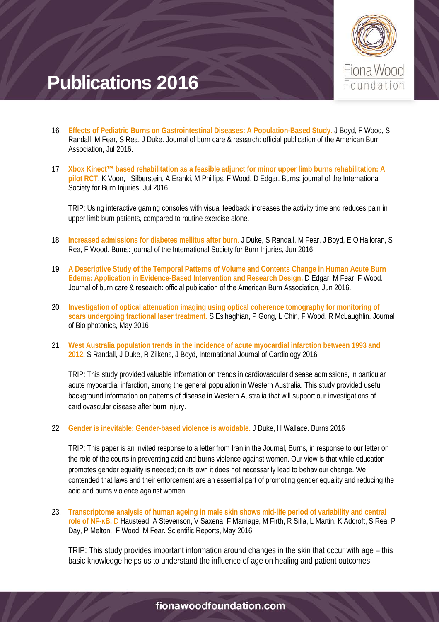

- 16. **Effects of Pediatric Burns on Gastrointestinal Diseases: A Population-Based Study.** J Boyd, F Wood, S Randall, M Fear, S Rea, J Duke. Journal of burn care & research: official publication of the American Burn Association, Jul 2016.
- 17. **Xbox Kinect™ based rehabilitation as a feasible adjunct for minor upper limb burns rehabilitation: A pilot RCT**. K Voon, I Silberstein, A Eranki, M Phillips, F Wood, D Edgar. Burns: journal of the International Society for Burn Injuries, Jul 2016

TRIP: Using interactive gaming consoles with visual feedback increases the activity time and reduces pain in upper limb burn patients, compared to routine exercise alone.

- 18. **Increased admissions for diabetes mellitus after burn**. J Duke, S Randall, M Fear, J Boyd, E O'Halloran, S Rea, F Wood. Burns: journal of the International Society for Burn Injuries, Jun 2016
- 19. **A Descriptive Study of the Temporal Patterns of Volume and Contents Change in Human Acute Burn Edema: Application in Evidence-Based Intervention and Research Design.** D Edgar, M Fear, F Wood. Journal of burn care & research: official publication of the American Burn Association, Jun 2016.
- 20. **Investigation of optical attenuation imaging using optical coherence tomography for monitoring of scars undergoing fractional laser treatment.** S Es'haghian, P Gong, L Chin, F Wood, R McLaughlin. Journal of Bio photonics, May 2016
- 21. **West Australia population trends in the incidence of acute myocardial infarction between 1993 and 2012.** S Randall, J Duke, R Zilkens, J Boyd, International Journal of Cardiology 2016

TRIP: This study provided valuable information on trends in cardiovascular disease admissions, in particular acute myocardial infarction, among the general population in Western Australia. This study provided useful background information on patterns of disease in Western Australia that will support our investigations of cardiovascular disease after burn injury.

22. **Gender is inevitable: Gender-based violence is avoidable.** J Duke, H Wallace. Burns 2016

TRIP: This paper is an invited response to a letter from Iran in the Journal, Burns, in response to our letter on the role of the courts in preventing acid and burns violence against women. Our view is that while education promotes gender equality is needed; on its own it does not necessarily lead to behaviour change. We contended that laws and their enforcement are an essential part of promoting gender equality and reducing the acid and burns violence against women.

23. **Transcriptome analysis of human ageing in male skin shows mid-life period of variability and central role of NF-κB.** D Haustead, A Stevenson, V Saxena, F Marriage, M Firth, R Silla, L Martin, K Adcroft, S Rea, P Day, P Melton, F Wood, M Fear. Scientific Reports, May 2016

TRIP: This study provides important information around changes in the skin that occur with age – this basic knowledge helps us to understand the influence of age on healing and patient outcomes.

#### fionawoodfoundation.com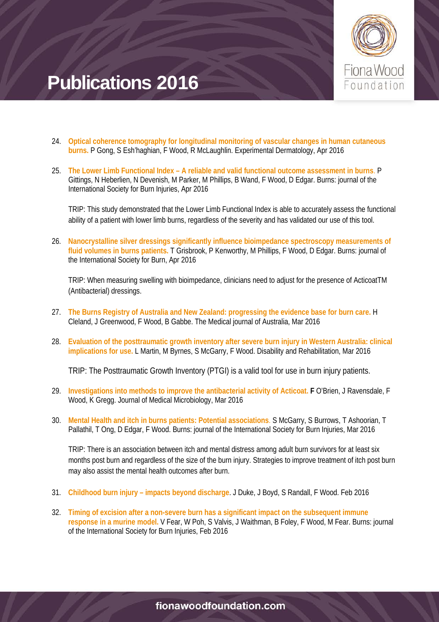

- 24. **Optical coherence tomography for longitudinal monitoring of vascular changes in human cutaneous burns.** P Gong, S Esh'haghian, F Wood, R McLaughlin. Experimental Dermatology, Apr 2016
- 25. **The Lower Limb Functional Index – A reliable and valid functional outcome assessment in burns**. P Gittings, N Heberlien, N Devenish, M Parker, M Phillips, B Wand, F Wood, D Edgar. Burns: journal of the International Society for Burn Injuries, Apr 2016

TRIP: This study demonstrated that the Lower Limb Functional Index is able to accurately assess the functional ability of a patient with lower limb burns, regardless of the severity and has validated our use of this tool.

26. **Nanocrystalline silver dressings significantly influence bioimpedance spectroscopy measurements of fluid volumes in burns patients.** T Grisbrook, P Kenworthy, M Phillips, F Wood, D Edgar. Burns: journal of the International Society for Burn, Apr 2016

TRIP: When measuring swelling with bioimpedance, clinicians need to adjust for the presence of ActicoatTM (Antibacterial) dressings.

- 27. **The Burns Registry of Australia and New Zealand: progressing the evidence base for burn care.** H Cleland, J Greenwood, F Wood, B Gabbe. The Medical journal of Australia, Mar 2016
- 28. **Evaluation of the posttraumatic growth inventory after severe burn injury in Western Australia: clinical implications for use.** L Martin, M Byrnes, S McGarry, F Wood. Disability and Rehabilitation, Mar 2016

TRIP: The Posttraumatic Growth Inventory (PTGI) is a valid tool for use in burn injury patients.

- 29. **Investigations into methods to improve the antibacterial activity of Acticoat. F** O'Brien, J Ravensdale, F Wood, K Gregg. Journal of Medical Microbiology, Mar 2016
- 30. **Mental Health and itch in burns patients: Potential associations**. S McGarry, S Burrows, T Ashoorian, T Pallathil, T Ong, D Edgar, F Wood. Burns: journal of the International Society for Burn Injuries, Mar 2016

TRIP: There is an association between itch and mental distress among adult burn survivors for at least six months post burn and regardless of the size of the burn injury. Strategies to improve treatment of itch post burn may also assist the mental health outcomes after burn.

- 31. **Childhood burn injury – impacts beyond discharge**. J Duke, J Boyd, S Randall, F Wood. Feb 2016
- 32. **Timing of excision after a non-severe burn has a significant impact on the subsequent immune response in a murine model.** V Fear, W Poh, S Valvis, J Waithman, B Foley, F Wood, M Fear. Burns: journal of the International Society for Burn Injuries, Feb 2016

#### fionawoodfoundation.com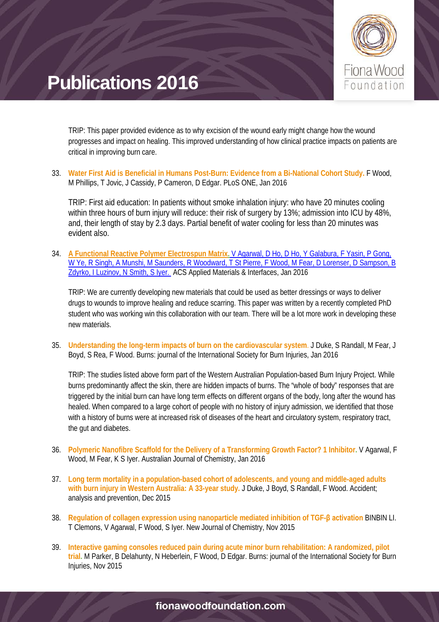

TRIP: This paper provided evidence as to why excision of the wound early might change how the wound progresses and impact on healing. This improved understanding of how clinical practice impacts on patients are critical in improving burn care.

33. **Water First Aid is Beneficial in Humans Post-Burn: Evidence from a Bi-National Cohort Study.** F Wood, M Phillips, T Jovic, J Cassidy, P Cameron, D Edgar. PLoS ONE, Jan 2016

TRIP: First aid education: In patients without smoke inhalation injury: who have 20 minutes cooling within three hours of burn injury will reduce: their risk of surgery by 13%; admission into ICU by 48%, and, their length of stay by 2.3 days. Partial benefit of water cooling for less than 20 minutes was evident also.

34. **[A Functional Reactive Polymer Electrospun Matrix.](https://www.researchgate.net/publication/291135958_A_Functional_Reactive_Polymer_Electrospun_Matrix?ev=prf_pub)** V Agarwal, D Ho, D Ho, Y Galabura, F Yasin, P Gong, W Ye, R Singh, A Munshi, M Saunders, R Woodward, T St Pierre, F Wood, M Fear, D Lorenser, D Sampson, B [Zdyrko, I Luzinov, N Smith, S Iyer.](https://www.researchgate.net/publication/291135958_A_Functional_Reactive_Polymer_Electrospun_Matrix?ev=prf_pub) ACS Applied Materials & Interfaces, Jan 2016

TRIP: We are currently developing new materials that could be used as better dressings or ways to deliver drugs to wounds to improve healing and reduce scarring. This paper was written by a recently completed PhD student who was working win this collaboration with our team. There will be a lot more work in developing these new materials.

35. **Understanding the long-term impacts of burn on the cardiovascular system**. J Duke, S Randall, M Fear, J Boyd, S Rea, F Wood. Burns: journal of the International Society for Burn Injuries, Jan 2016

TRIP: The studies listed above form part of the Western Australian Population-based Burn Injury Project. While burns predominantly affect the skin, there are hidden impacts of burns. The "whole of body" responses that are triggered by the initial burn can have long term effects on different organs of the body, long after the wound has healed. When compared to a large cohort of people with no history of injury admission, we identified that those with a history of burns were at increased risk of diseases of the heart and circulatory system, respiratory tract, the gut and diabetes.

- 36. **Polymeric Nanofibre Scaffold for the Delivery of a Transforming Growth Factor? 1 Inhibitor.** V Agarwal, F Wood, M Fear, K S Iyer. Australian Journal of Chemistry, Jan 2016
- 37. **Long term mortality in a population-based cohort of adolescents, and young and middle-aged adults with burn injury in Western Australia: A 33-year study.** J Duke, J Boyd, S Randall, F Wood. Accident; analysis and prevention, Dec 2015
- 38. **Regulation of collagen expression using nanoparticle mediated inhibition of TGF-β activation** BINBIN LI. T Clemons, V Agarwal, F Wood, S Iyer. New Journal of Chemistry, Nov 2015
- 39. **Interactive gaming consoles reduced pain during acute minor burn rehabilitation: A randomized, pilot trial.** M Parker, B Delahunty, N Heberlein, F Wood, D Edgar. Burns: journal of the International Society for Burn Injuries, Nov 2015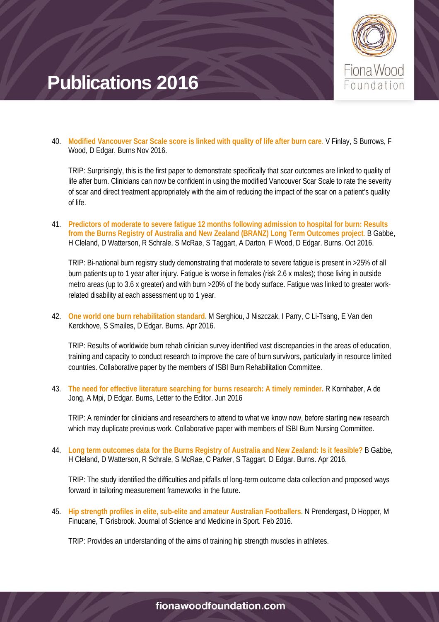

40. **Modified Vancouver Scar Scale score is linked with quality of life after burn care**. V Finlay, S Burrows, F Wood, D Edgar. Burns Nov 2016.

TRIP: Surprisingly, this is the first paper to demonstrate specifically that scar outcomes are linked to quality of life after burn. Clinicians can now be confident in using the modified Vancouver Scar Scale to rate the severity of scar and direct treatment appropriately with the aim of reducing the impact of the scar on a patient's quality of life.

41. **Predictors of moderate to severe fatigue 12 months following admission to hospital for burn: Results from the Burns Registry of Australia and New Zealand (BRANZ) Long Term Outcomes project**. B Gabbe, H Cleland, D Watterson, R Schrale, S McRae, S Taggart, A Darton, F Wood, D Edgar. Burns. Oct 2016.

TRIP: Bi-national burn registry study demonstrating that moderate to severe fatigue is present in >25% of all burn patients up to 1 year after injury. Fatigue is worse in females (risk 2.6 x males); those living in outside metro areas (up to 3.6 x greater) and with burn >20% of the body surface. Fatigue was linked to greater workrelated disability at each assessment up to 1 year.

42. **One world one burn rehabilitation standard.** M Serghiou, J Niszczak, I Parry, C Li-Tsang, E Van den Kerckhove, S Smailes, D Edgar. Burns. Apr 2016.

TRIP: Results of worldwide burn rehab clinician survey identified vast discrepancies in the areas of education, training and capacity to conduct research to improve the care of burn survivors, particularly in resource limited countries. Collaborative paper by the members of ISBI Burn Rehabilitation Committee.

43. **The need for effective literature searching for burns research: A timely reminder.** R Kornhaber, A de Jong, A Mpi, D Edgar. Burns, Letter to the Editor. Jun 2016

TRIP: A reminder for clinicians and researchers to attend to what we know now, before starting new research which may duplicate previous work. Collaborative paper with members of ISBI Burn Nursing Committee.

44. **Long term outcomes data for the Burns Registry of Australia and New Zealand: Is it feasible?** B Gabbe, H Cleland, D Watterson, R Schrale, S McRae, C Parker, S Taggart, D Edgar. Burns. Apr 2016.

TRIP: The study identified the difficulties and pitfalls of long-term outcome data collection and proposed ways forward in tailoring measurement frameworks in the future.

45. **Hip strength profiles in elite, sub-elite and amateur Australian Footballers.** N Prendergast, D Hopper, M Finucane, T Grisbrook. Journal of Science and Medicine in Sport. Feb 2016.

TRIP: Provides an understanding of the aims of training hip strength muscles in athletes.